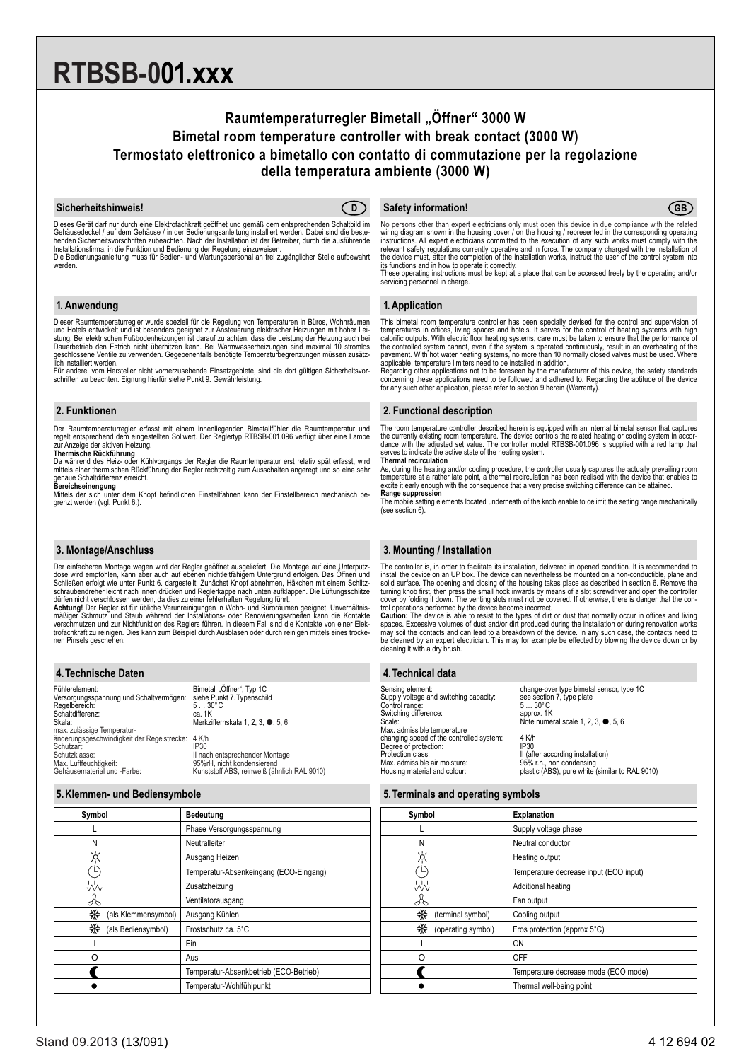# **RTBSB-001.xxx**

# **Raumtemperaturregler Bimetall "Öffner" 3000 W Bimetal room temperature controller with break contact (3000 W) Termostato elettronico a bimetallo con contatto di commutazione per la regolazione della temperatura ambiente (3000 W)**

# **Sicherheitshinweis! CD**



Dieses Gerät darf nur durch eine Elektrofachkraft geöffnet und gemäß dem entsprechenden Schaltbild im Gehäusedeckel / auf dem Gehäuse / in der Bedienungsanleitung installiert werden. Dabei sind die beste-<br>henden Sicherheitsvorschriften zubeachten. Nach der Installation ist der Betreiber, durch die ausführende<br>Installations werden.

#### **1. Anwendung**

Dieser Raumtemperaturregler wurde speziell für die Regelung von Temperaturen in Büros, Wohnräumen<br>und Hotels entwickelt und ist besonders geeignet zur Ansteuerung elektrischer Heizungen mit hoher Lei-<br>stung. Bei elektrisch

Für andere, vom Hersteller nicht vorherzusehende Einsatzgebiete, sind die dort gültigen Sicherheitsvor-schriften zu beachten. Eignung hierfür siehe Punkt 9. Gewährleistung.

# **2. Funktionen**

Der Raumtemperaturregler erfasst mit einem innenliegenden Bimetallfühler die Raumtemperatur und regelt entsprechend dem eingestellten Sollwert. Der Reglertyp RTBSB-001.096 verfügt über eine Lampe zur Anzeige der aktiven Heizung.

**Thermische Rückführung**<br>Da während des Heiz- oder Kühlvorgangs der Regler die Raumtemperatur erst relativ spät erfasst, wird<br>mittels einer thermischen Rückführung der Regler rechtzeitig zum Ausschalten angeregt und so ein

genaue Schaltdifferenz erreicht.<br>**Bereichseinengung**<br>Mittels der sich unter dem Knopf befindlichen Einstellfahnen kann der Einstellbereich mechanisch be-<br>grenzt werden (vgl. Punkt 6.).

# **3. Montage/Anschluss**

Der einfacheren Montage wegen wird der Regler geöffnet ausgeliefert. Die Montage auf eine Unterputzdose wird empfohlen, kann aber auch auf ebenen nichtleitfähigem Untergrund erfolgen. Das Offnen und<br>Schließen erfolgt wie unter Punkt 6. dargestellt. Zunächst Knopf abnehmen, Häkchen mit einem Schlitz-<br>schraubendreher leic

dürfen nicht verschlossen werden, da dies zu einer fehlerhaften Regelung führt.<br>**Achtung!** Der Regler ist für übliche Verunreinigungen in Wohn- und Büroräumen geeignet. Unverhältnis-<br>mäßiger Schmutz und Staub während der I verschmutzen und zur Nichtfunktion des Reglers führen. In diesem Fall sind die Kontakte von einer Elek-<br>trofachkraft zu reinigen. Dies kann zum Beispiel durch Ausblasen oder durch reinigen mittels eines trocke-<br>nen Pinsels

# **4.Technische Daten**

| Fühlerelement:<br>Versorgungsspannung und Schaltvermögen:<br>Regelbereich:<br>Schaltdifferenz:<br>Skala:<br>max. zulässige Temperatur- | Bimetall "Öffner", Typ 1C<br>siehe Punkt 7. Typenschild<br>$530^{\circ}$ C<br>ca. 1K<br>Merkziffernskala 1, 2, 3, ●, 5, 6    |
|----------------------------------------------------------------------------------------------------------------------------------------|------------------------------------------------------------------------------------------------------------------------------|
| änderungsgeschwindigkeit der Regelstrecke:<br>Schutzart:<br>Schutzklasse:<br>Max. Luftfeuchtigkeit:<br>Gehäusematerial und -Farbe:     | 4 K/h<br>IP30<br>II nach entsprechender Montage<br>95%rH. nicht kondensierend<br>Kunststoff ABS, reinweiß (ähnlich RAL 9010) |

# **5.Klemmen- und Bediensymbole**

| Symbol                   | <b>Bedeutung</b>                       |
|--------------------------|----------------------------------------|
|                          | Phase Versorgungsspannung              |
| N                        | Neutralleiter                          |
| ⊰৹্                      | Ausgang Heizen                         |
|                          | Temperatur-Absenkeingang (ECO-Eingang) |
| W                        | Zusatzheizung                          |
| ۃ                        | Ventilatorausgang                      |
| ₩<br>(als Klemmensymbol) | Ausgang Kühlen                         |
| ₩<br>(als Bediensymbol)  | Frostschutz ca. 5°C                    |
|                          | Ein                                    |
| റ                        | Aus                                    |
|                          | Temperatur-Absenkbetrieb (ECO-Betrieb) |
|                          | Temperatur-Wohlfühlpunkt               |

#### **D CGB CGB GB CGB CGB CGB CGB CGB CGB CGB CGB CGB CGB CGB CGB CGB CGB CGB CGB CGB CGB CGB CGB CGB CGB CGB CGB CGB CGB CGB CGB CGB CGB CGB CGB CGB CG**

No persons other than expert electricians only must open this device in due compliance with the related wiring diagram shown in the housing cover / on the housing / represented in the corresponding operating<br>instructions. All expert electricians committed to the execution of any such works must comply with the<br>relevant safet

its functions and in how to operate it correctly. These operating instructions must be kept at a place that can be accessed freely by the operating and/or servicing personnel in charge.

#### **1. Application**

This bimetal room temperature controller has been specially devised for the control and supervision of<br>temperatures in offices, living spaces and hotels. It serves for the control of heating systems with high<br>calorific out applicable, temperature limiters need to be installed in addition.

Regarding other applications not to be foreseen by the manufacturer of this device, the safety standards concerning these applications need to be followed and adhered to. Regarding the aptitude of the device for any such other application, please refer to section 9 herein (Warranty).

#### **2. Functional description**

The room temperature controller described herein is equipped with an internal bimetal sensor that captures the currently existing room temperature. The device controls the related heating or cooling system in accordance with the adjusted set value. The controller model RTBSB-001.096 is supplied with a red lamp that serves to indicate the active state of the heating system. **Thermal recirculation**

As, during the heating and/or cooling procedure, the controller usually captures the actually prevailing room<br>temperature at a rather late point, a thermal recirculation has been realised with the device that enables to<br>ex **Range suppression**

The mobile setting elements located underneath of the knob enable to delimit the setting range mechanically (see section 6).

# **3. Mounting / Installation**

The controller is, in order to facilitate its installation, delivered in opened condition. It is recommended to install the device on an UP box. The device can nevertheless be mounted on a non-conductible, plane and<br>solid surface. The opening and closing of the housing takes place as described in section 6. Remove the<br>turning knob f cover by folding it down. The venting slots must not be covered. If otherwise, there is danger that the con-<br>trol operations performed by the device become incorrect.<br>**Caution:** The device is able to resist to the types of

spaces. Excessive volumes of dust and/or dirt produced during the installation or during renovation works<br>may soil the contacts and can lead to a breakdown of the device. In any such case, the contacts need to<br>be cleaned b cleaning it with a dry brush.

# **4.Technical data**

Sensing element: entity results of the change-over type bimetal sensor, type 1C Sensing element:<br>Supply voltage and switching capacity:<br>Control range: Control range: 5 … 30°C Switching difference:<br>Scale: Max. admissible temperature changing speed of the controlled system: 4 K/h Degree of protection: IP30 Protection class: II (after according installation) Max. admissible air moisture:<br>Housing material and colour:

 $S<sub>1</sub>$ :  $S<sub>2</sub>$  ,  $S<sub>3</sub>$  ,  $S<sub>4</sub>$  ,  $S<sub>5</sub>$  ,  $S<sub>6</sub>$  Note numeral scale 1, 2, 3,  $\bullet$ , 5, 6

95% r.h., non condensing<br>plastic (ABS), pure white (similar to RAL 9010)

#### **5.Terminals and operating symbols**

| Symbol                  | <b>Explanation</b>                     |
|-------------------------|----------------------------------------|
|                         | Supply voltage phase                   |
| Ν                       | Neutral conductor                      |
| ☆                       | Heating output                         |
|                         | Temperature decrease input (ECO input) |
| W                       | Additional heating                     |
|                         | Fan output                             |
| ₩<br>(terminal symbol)  | Cooling output                         |
| ₩<br>(operating symbol) | Fros protection (approx 5°C)           |
|                         | ON                                     |
| ∩                       | OFF                                    |
|                         | Temperature decrease mode (ECO mode)   |
|                         | Thermal well-being point               |